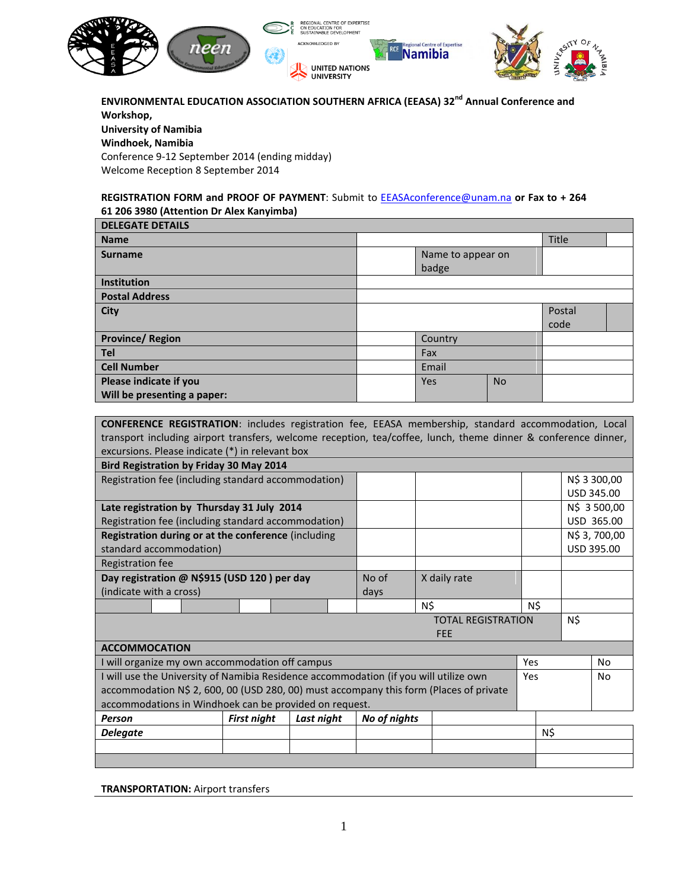

**ENVIRONMENTAL EDUCATION ASSOCIATION SOUTHERN AFRICA (EEASA) 32nd Annual Conference and Workshop, University of Namibia Windhoek, Namibia** Conference 9-12 September 2014 (ending midday) Welcome Reception 8 September 2014

# **REGISTRATION FORM and PROOF OF PAYMENT**: Submit to [EEASAconference@unam.na](mailto:EEASAconference@unam.na) **or Fax to + 264 61 206 3980 (Attention Dr Alex Kanyimba)**

| <b>DELEGATE DETAILS</b>                               |       |                            |           |                |  |  |
|-------------------------------------------------------|-------|----------------------------|-----------|----------------|--|--|
| <b>Name</b>                                           |       |                            |           | <b>Title</b>   |  |  |
| <b>Surname</b>                                        |       | Name to appear on<br>badge |           |                |  |  |
| <b>Institution</b>                                    |       |                            |           |                |  |  |
| <b>Postal Address</b>                                 |       |                            |           |                |  |  |
| <b>City</b>                                           |       |                            |           | Postal<br>code |  |  |
| <b>Province/Region</b>                                |       | Country                    |           |                |  |  |
| <b>Tel</b>                                            | Fax   |                            |           |                |  |  |
| <b>Cell Number</b>                                    | Email |                            |           |                |  |  |
| Please indicate if you<br>Will be presenting a paper: |       | Yes                        | <b>No</b> |                |  |  |

**CONFERENCE REGISTRATION**: includes registration fee, EEASA membership, standard accommodation, Local transport including airport transfers, welcome reception, tea/coffee, lunch, theme dinner & conference dinner, excursions. Please indicate (\*) in relevant box **Bird Registration by Friday 30 May 2014** Registration fee (including standard accommodation) N\$ 3 300,00 USD 345.00 **Late registration by Thursday 31 July 2014** Registration fee (including standard accommodation) N\$ 3 500,00 USD 365.00 **Registration during or at the conference** (including standard accommodation) N\$ 3, 700,00 USD 395.00 Registration fee **Day registration @ N\$915 (USD 120 ) per day** (indicate with a cross) No of days X daily rate N\$ N\$ TOTAL REGISTRATION FEE N\$ **ACCOMMOCATION** I will organize my own accommodation off campus No Alexandro Control of Alexandro Vest No Alexandro Vest No Alex I will use the University of Namibia Residence accommodation (if you will utilize own accommodation N\$ 2, 600, 00 (USD 280, 00) must accompany this form (Places of private accommodations in Windhoek can be provided on request. Yes No *Person First night Last night No of nights Delegate* N\$ N\$

**TRANSPORTATION:** Airport transfers